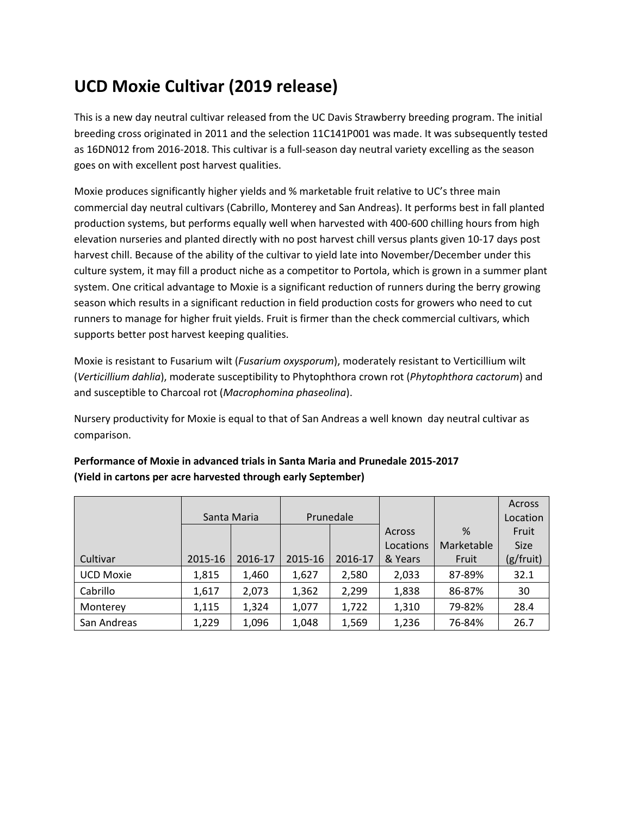# **UCD Moxie Cultivar (2019 release)**

This is a new day neutral cultivar released from the UC Davis Strawberry breeding program. The initial breeding cross originated in 2011 and the selection 11C141P001 was made. It was subsequently tested as 16DN012 from 2016-2018. This cultivar is a full-season day neutral variety excelling as the season goes on with excellent post harvest qualities.

Moxie produces significantly higher yields and % marketable fruit relative to UC's three main commercial day neutral cultivars (Cabrillo, Monterey and San Andreas). It performs best in fall planted production systems, but performs equally well when harvested with 400-600 chilling hours from high elevation nurseries and planted directly with no post harvest chill versus plants given 10-17 days post harvest chill. Because of the ability of the cultivar to yield late into November/December under this culture system, it may fill a product niche as a competitor to Portola, which is grown in a summer plant system. One critical advantage to Moxie is a significant reduction of runners during the berry growing season which results in a significant reduction in field production costs for growers who need to cut runners to manage for higher fruit yields. Fruit is firmer than the check commercial cultivars, which supports better post harvest keeping qualities.

Moxie is resistant to Fusarium wilt (*Fusarium oxysporum*), moderately resistant to Verticillium wilt (*Verticillium dahlia*), moderate susceptibility to Phytophthora crown rot (*Phytophthora cactorum*) and and susceptible to Charcoal rot (*Macrophomina phaseolina*).

Nursery productivity for Moxie is equal to that of San Andreas a well known day neutral cultivar as comparison.

|                  |             |         |           |         |           | Across     |             |
|------------------|-------------|---------|-----------|---------|-----------|------------|-------------|
|                  | Santa Maria |         | Prunedale |         |           |            | Location    |
|                  |             |         |           |         | Across    | %          | Fruit       |
|                  |             |         |           |         | Locations | Marketable | <b>Size</b> |
| Cultivar         | 2015-16     | 2016-17 | 2015-16   | 2016-17 | & Years   | Fruit      | (g/fruit)   |
| <b>UCD Moxie</b> | 1,815       | 1,460   | 1,627     | 2,580   | 2,033     | 87-89%     | 32.1        |
| Cabrillo         | 1,617       | 2,073   | 1,362     | 2,299   | 1,838     | 86-87%     | 30          |
| Monterey         | 1,115       | 1,324   | 1,077     | 1,722   | 1,310     | 79-82%     | 28.4        |
| San Andreas      | 1,229       | 1,096   | 1,048     | 1,569   | 1,236     | 76-84%     | 26.7        |

## **Performance of Moxie in advanced trials in Santa Maria and Prunedale 2015-2017 (Yield in cartons per acre harvested through early September)**